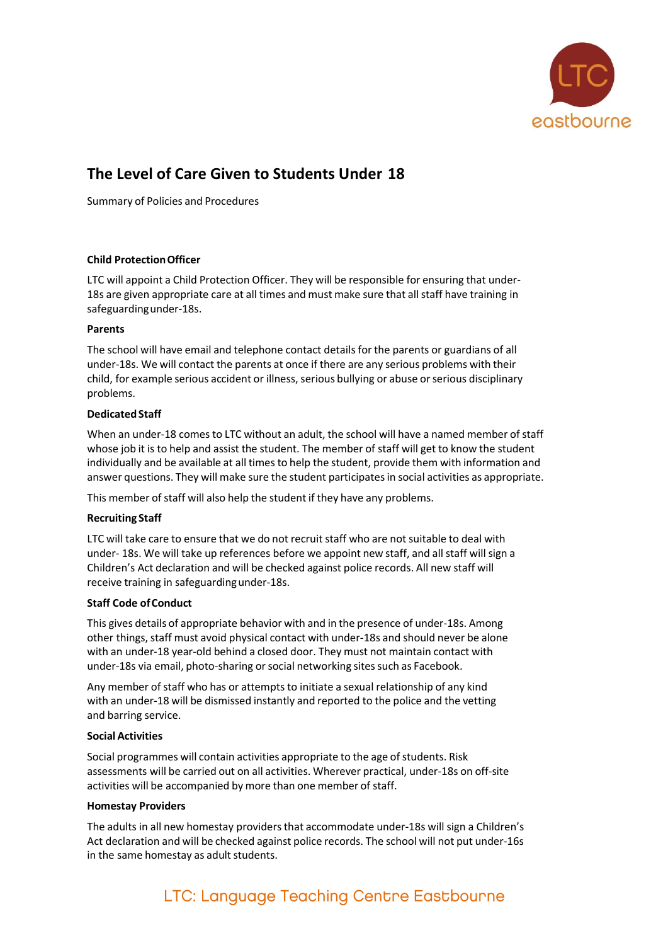

# **The Level of Care Given to Students Under 18**

Summary of Policies and Procedures

## **Child ProtectionOfficer**

LTC will appoint a Child Protection Officer. They will be responsible for ensuring that under-18s are given appropriate care at all times and must make sure that all staff have training in safeguardingunder-18s.

## **Parents**

The school will have email and telephone contact details for the parents or guardians of all under-18s. We will contact the parents at once if there are any serious problems with their child, for example serious accident or illness, serious bullying or abuse or serious disciplinary problems.

## **Dedicated Staff**

When an under-18 comes to LTC without an adult, the school will have a named member of staff whose job it is to help and assist the student. The member of staff will get to know the student individually and be available at all times to help the student, provide them with information and answer questions. They will make sure the student participatesin social activities as appropriate.

This member of staff will also help the student if they have any problems.

# **Recruiting Staff**

LTC will take care to ensure that we do not recruit staff who are not suitable to deal with under- 18s. We will take up references before we appoint new staff, and all staff will sign a Children's Act declaration and will be checked against police records. All new staff will receive training in safeguarding under-18s.

# **Staff Code ofConduct**

This gives details of appropriate behavior with and in the presence of under-18s. Among other things, staff must avoid physical contact with under-18s and should never be alone with an under-18 year-old behind a closed door. They must not maintain contact with under-18s via email, photo-sharing or social networking sites such as Facebook.

Any member of staff who has or attempts to initiate a sexual relationship of any kind with an under-18 will be dismissed instantly and reported to the police and the vetting and barring service.

#### **Social Activities**

Social programmes will contain activities appropriate to the age of students. Risk assessments will be carried out on all activities. Wherever practical, under-18s on off-site activities will be accompanied by more than one member of staff.

#### **Homestay Providers**

The adults in all new homestay providersthat accommodate under-18s will sign a Children's Act declaration and will be checked against police records. The school will not put under-16s in the same homestay as adult students.

# LTC: Language Teaching Centre Eastbourne